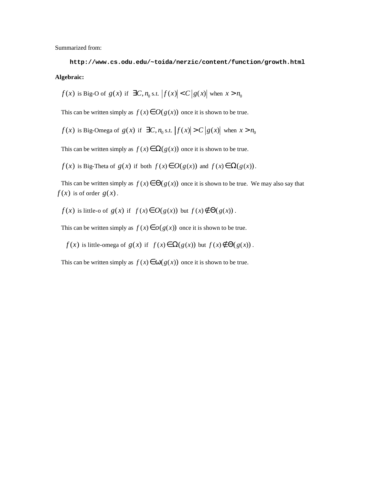Summarized from:

**http://www.cs.odu.edu/~toida/nerzic/content/function/growth.html Algebraic:**

$$
f(x) \text{ is Big-O of } g(x) \text{ if } \exists C, n_0 \text{ s.t. } \left| f(x) \right| < C \left| g(x) \right| \text{ when } x > n_0
$$

This can be written simply as  $f(x) \in O(g(x))$  once it is shown to be true.

$$
f(x)
$$
 is Big-Omega of  $g(x)$  if  $\exists C, n_0$  s.t.  $|f(x)| > C |g(x)|$  when  $x > n_0$ 

This can be written simply as  $f(x) \in \Omega(g(x))$  once it is shown to be true.

*f*(*x*) is Big-Theta of *g*(*x*) if both  $f(x) \in O(g(x))$  and  $f(x) \in \Omega(g(x))$ .

This can be written simply as  $f(x) \in \Theta(g(x))$  once it is shown to be true. We may also say that  $f(x)$  is of order  $g(x)$ .

*f*(*x*) is little-o of  $g(x)$  if  $f(x) \in O(g(x))$  but  $f(x) \notin \Theta(g(x))$ .

This can be written simply as  $f(x) \in o(g(x))$  once it is shown to be true.

*f*(*x*) is little-omega of  $g(x)$  if  $f(x) \in \Omega(g(x))$  but  $f(x) \notin \Theta(g(x))$ .

This can be written simply as  $f(x) \in W(g(x))$  once it is shown to be true.